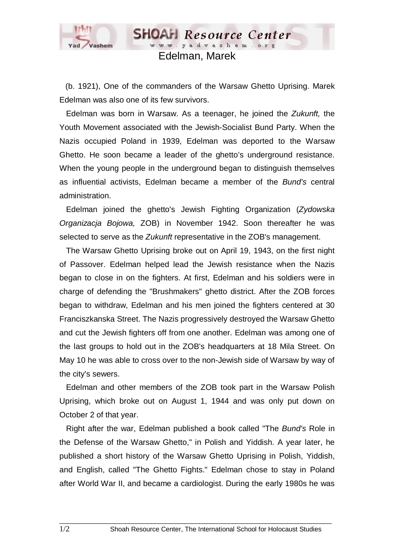

## Edelman, Marek

**SHOAH** Resource Center www.yadvashem.or

(b. 1921), One of the commanders of the Warsaw Ghetto Uprising. Marek Edelman was also one of its few survivors.

 Edelman was born in Warsaw. As a teenager, he joined the *Zukunft,* the Youth Movement associated with the Jewish-Socialist Bund Party. When the Nazis occupied Poland in 1939, Edelman was deported to the Warsaw Ghetto. He soon became a leader of the ghetto's underground resistance. When the young people in the underground began to distinguish themselves as influential activists, Edelman became a member of the *Bund's* central administration.

 Edelman joined the ghetto's Jewish Fighting Organization (*Zydowska Organizacja Bojowa,* ZOB) in November 1942. Soon thereafter he was selected to serve as the *Zukunft* representative in the ZOB's management.

 The Warsaw Ghetto Uprising broke out on April 19, 1943, on the first night of Passover. Edelman helped lead the Jewish resistance when the Nazis began to close in on the fighters. At first, Edelman and his soldiers were in charge of defending the "Brushmakers" ghetto district. After the ZOB forces began to withdraw, Edelman and his men joined the fighters centered at 30 Franciszkanska Street. The Nazis progressively destroyed the Warsaw Ghetto and cut the Jewish fighters off from one another. Edelman was among one of the last groups to hold out in the ZOB's headquarters at 18 Mila Street. On May 10 he was able to cross over to the non-Jewish side of Warsaw by way of the city's sewers.

 Edelman and other members of the ZOB took part in the Warsaw Polish Uprising, which broke out on August 1, 1944 and was only put down on October 2 of that year.

 Right after the war, Edelman published a book called "The *Bund's* Role in the Defense of the Warsaw Ghetto," in Polish and Yiddish. A year later, he published a short history of the Warsaw Ghetto Uprising in Polish, Yiddish, and English, called "The Ghetto Fights." Edelman chose to stay in Poland after World War II, and became a cardiologist. During the early 1980s he was

 $\_$  ,  $\_$  ,  $\_$  ,  $\_$  ,  $\_$  ,  $\_$  ,  $\_$  ,  $\_$  ,  $\_$  ,  $\_$  ,  $\_$  ,  $\_$  ,  $\_$  ,  $\_$  ,  $\_$  ,  $\_$  ,  $\_$  ,  $\_$  ,  $\_$